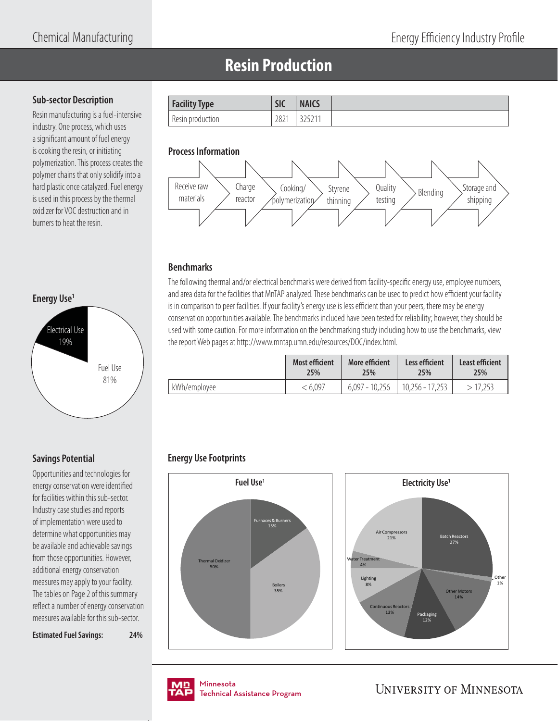# **Resin Production**

### **Sub-sector Description**

Resin manufacturing is a fuel-intensive industry. One process, which uses a significant amount of fuel energy is cooking the resin, or initiating polymerization. This process creates the polymer chains that only solidify into a hard plastic once catalyzed. Fuel energy is used in this process by the thermal oxidizer for VOC destruction and in burners to heat the resin.



# **Savings Potential**

Opportunities and technologies for energy conservation were identified for facilities within this sub-sector. Industry case studies and reports of implementation were used to determine what opportunities may be available and achievable savings from those opportunities. However, additional energy conservation measures may apply to your facility. The tables on Page 2 of this summary reflect a number of energy conservation measures available for this sub-sector.

**Estimated Fuel Savings: 24%**



### **Process Information**



### **Benchmarks**

The following thermal and/or electrical benchmarks were derived from facility-specific energy use, employee numbers, and area data for the facilities that MnTAP analyzed. These benchmarks can be used to predict how efficient your facility is in comparison to peer facilities. If your facility's energy use is less efficient than your peers, there may be energy conservation opportunities available. The benchmarks included have been tested for reliability; however, they should be used with some caution. For more information on the benchmarking study including how to use the benchmarks, view the report Web pages at http://www.mntap.umn.edu/resources/DOC/index.html.

|              | <b>Most efficient</b> | More efficient | Less efficient  | Least efficient |  |
|--------------|-----------------------|----------------|-----------------|-----------------|--|
|              | 25%                   | 25%            | 25%             | 25%             |  |
| kWh/employee | < 6.097               | 6,097 - 10,256 | 10.256 - 17.253 | >17.253         |  |

# **Energy Use Footprints**







nmesota<br>:chnical Assis Technical Assistance Program .<br>Tochnical / Technical Assistance Program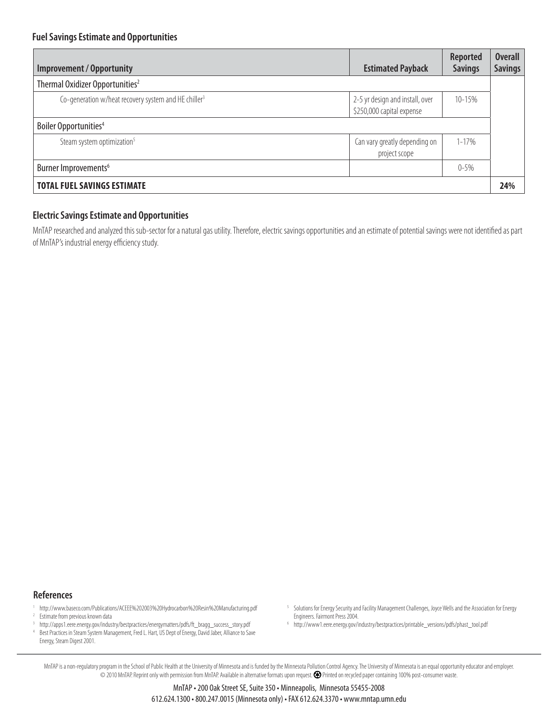| <b>Improvement / Opportunity</b>                                 | <b>Estimated Payback</b>                                     | Reported<br><b>Savings</b> | <b>Overall</b><br><b>Savings</b> |
|------------------------------------------------------------------|--------------------------------------------------------------|----------------------------|----------------------------------|
| Thermal Oxidizer Opportunities <sup>2</sup>                      |                                                              |                            |                                  |
| Co-generation w/heat recovery system and HE chiller <sup>3</sup> | 2-5 yr design and install, over<br>\$250,000 capital expense | $10 - 15%$                 |                                  |
| Boiler Opportunities <sup>4</sup>                                |                                                              |                            |                                  |
| Steam system optimization <sup>5</sup>                           | Can vary greatly depending on<br>project scope               | $1 - 17\%$                 |                                  |
| Burner Improvements <sup>6</sup>                                 |                                                              | $0 - 5\%$                  |                                  |
| <b>TOTAL FUEL SAVINGS ESTIMATE</b>                               |                                                              |                            | 24%                              |

### **Electric Savings Estimate and Opportunities**

MnTAP researched and analyzed this sub-sector for a natural gas utility. Therefore, electric savings opportunities and an estimate of potential savings were not identified as part of MnTAP's industrial energy efficiency study.

#### **References**

- 1 http://www.baseco.com/Publications/ACEEE%202003%20Hydrocarbon%20Resin%20Manufacturing.pdf
- <sup>2</sup> Estimate from previous known data
- 3 http://apps1.eere.energy.gov/industry/bestpractices/energymatters/pdfs/ft\_bragg\_success\_story.pdf
- 4 Best Practices in Steam System Management, Fred L. Hart, US Dept of Energy, David Jaber, Alliance to Save Energy, Steam Digest 2001.
- <sup>5</sup> Solutions for Energy Security and Facility Management Challenges, Joyce Wells and the Association for Energy Engineers. Fairmont Press 2004.
- 6 http://www1.eere.energy.gov/industry/bestpractices/printable\_versions/pdfs/phast\_tool.pdf

MnTAP is a non-regulatory program in the School of Public Health at the University of Minnesota and is funded by the Minnesota Pollution Control Agency. The University of Minnesota is an equal opportunity educator and empl © 2010 MnTAP. Reprint only with permission from MnTAP. Available in alternative formats upon request. Printed on recycled paper containing 100% post-consumer waste.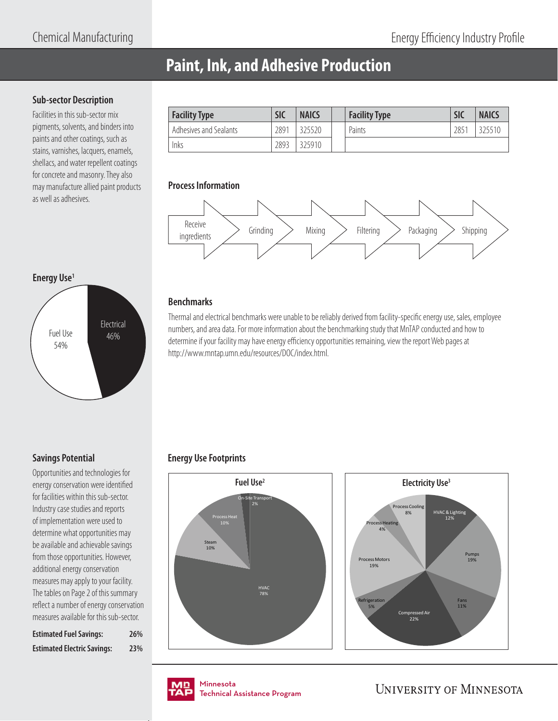# **Paint, Ink, and Adhesive Production**

### **Sub-sector Description**

Facilities in this sub-sector mix pigments, solvents, and binders into paints and other coatings, such as stains, varnishes, lacquers, enamels, shellacs, and water repellent coatings for concrete and masonry. They also may manufacture allied paint products as well as adhesives.

| <b>Facility Type</b>   | <b>SIC</b> | <b>NAICS</b> | <b>Facility Type</b> | <b>SIC</b> | <b>NAICS</b> |
|------------------------|------------|--------------|----------------------|------------|--------------|
| Adhesives and Sealants | 2891       | 325520       | Paints               | 2851       | 325510       |
| Inks                   | 2893       | 325910       |                      |            |              |

### **Process Information**



# **Energy Use1**



### **Benchmarks**

Thermal and electrical benchmarks were unable to be reliably derived from facility-specific energy use, sales, employee numbers, and area data. For more information about the benchmarking study that MnTAP conducted and how to determine if your facility may have energy efficiency opportunities remaining, view the report Web pages at http://www.mntap.umn.edu/resources/DOC/index.html.

# **Savings Potential**

Opportunities and technologies for energy conservation were identified for facilities within this sub-sector. Industry case studies and reports of implementation were used to determine what opportunities may be available and achievable savings from those opportunities. However, additional energy conservation measures may apply to your facility. The tables on Page 2 of this summary reflect a number of energy conservation measures available for this sub-sector.

| <b>Estimated Fuel Savings:</b>     | <b>26%</b> |
|------------------------------------|------------|
| <b>Estimated Electric Savings:</b> | 23%        |

# **Energy Use Footprints**





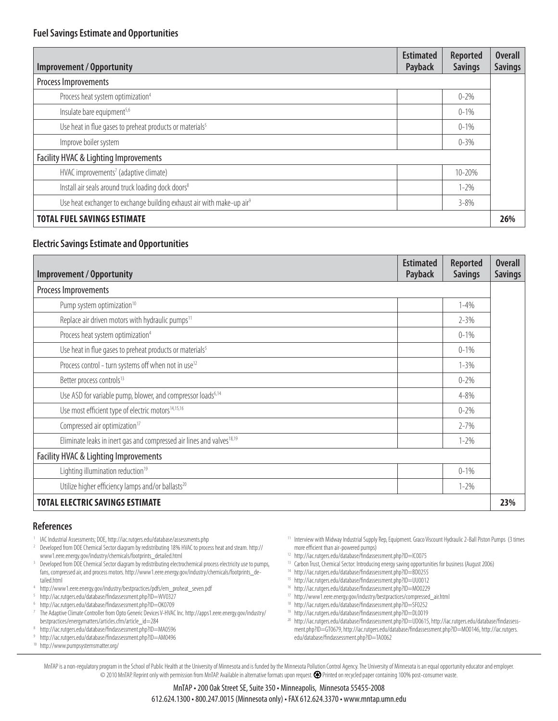| <b>Improvement / Opportunity</b>                                                  | <b>Estimated</b><br>Payback | <b>Reported</b><br><b>Savings</b> | <b>Overall</b><br><b>Savings</b> |
|-----------------------------------------------------------------------------------|-----------------------------|-----------------------------------|----------------------------------|
| Process Improvements                                                              |                             |                                   |                                  |
| Process heat system optimization <sup>4</sup>                                     |                             | $0 - 2\%$                         |                                  |
| Insulate bare equipment <sup>5,6</sup>                                            |                             | $0 - 1\%$                         |                                  |
| Use heat in flue gases to preheat products or materials <sup>5</sup>              |                             | $0 - 1\%$                         |                                  |
| Improve boiler system                                                             |                             | $0 - 3\%$                         |                                  |
| Facility HVAC & Lighting Improvements                                             |                             |                                   |                                  |
| HVAC improvements <sup>7</sup> (adaptive climate)                                 |                             | 10-20%                            |                                  |
| Install air seals around truck loading dock doors <sup>8</sup>                    |                             | $1 - 2%$                          |                                  |
| Use heat exchanger to exchange building exhaust air with make-up air <sup>9</sup> |                             | $3 - 8%$                          |                                  |
| <b>TOTAL FUEL SAVINGS ESTIMATE</b>                                                |                             |                                   | 26%                              |

### **Electric Savings Estimate and Opportunities**

| <b>Improvement / Opportunity</b>                                                  | <b>Estimated</b><br>Payback | Reported<br><b>Savings</b> | <b>Overall</b><br><b>Savings</b> |
|-----------------------------------------------------------------------------------|-----------------------------|----------------------------|----------------------------------|
| Process Improvements                                                              |                             |                            |                                  |
| Pump system optimization <sup>10</sup>                                            |                             | $1 - 4\%$                  |                                  |
| Replace air driven motors with hydraulic pumps <sup>11</sup>                      |                             | $2 - 3\%$                  |                                  |
| Process heat system optimization <sup>4</sup>                                     |                             | $0 - 1\%$                  |                                  |
| Use heat in flue gases to preheat products or materials <sup>5</sup>              |                             | $0 - 1\%$                  |                                  |
| Process control - turn systems off when not in use <sup>12</sup>                  |                             | $1 - 3\%$                  |                                  |
| Better process controls <sup>13</sup>                                             |                             | $0 - 2\%$                  |                                  |
| Use ASD for variable pump, blower, and compressor loads <sup>6,14</sup>           |                             | $4 - 8\%$                  |                                  |
| Use most efficient type of electric motors <sup>14,15,16</sup>                    |                             | $0 - 2\%$                  |                                  |
| Compressed air optimization <sup>17</sup>                                         |                             | $2 - 7%$                   |                                  |
| Eliminate leaks in inert gas and compressed air lines and valves <sup>18,19</sup> |                             | $1 - 2\%$                  |                                  |
| Facility HVAC & Lighting Improvements                                             |                             |                            |                                  |
| Lighting illumination reduction <sup>19</sup>                                     |                             | $0 - 1\%$                  |                                  |
| Utilize higher efficiency lamps and/or ballasts <sup>20</sup>                     |                             | $1 - 2\%$                  |                                  |
| <b>TOTAL ELECTRIC SAVINGS ESTIMATE</b>                                            |                             |                            | 23%                              |

### **References**

- IAC Industrial Assessments; DOE, http://iac.rutgers.edu/database/assessments.php
- 2 Developed from DOE Chemical Sector diagram by redistributing 18% HVAC to process heat and steam. http:// www1.eere.energy.gov/industry/chemicals/footprints\_detailed.html
- 3 Developed from DOE Chemical Sector diagram by redistributing electrochemical process electricity use to pumps, fans, compressed air, and process motors. http://www1.eere.energy.gov/industry/chemicals/footprints\_detailed.html
- 4 http://www1.eere.energy.gov/industry/bestpractices/pdfs/em\_proheat\_seven.pdf
- 5 http://iac.rutgers.edu/database/findassessment.php?ID=WV0327
- 6 http://iac.rutgers.edu/database/findassessment.php?ID=OK0709
- 7 The Adaptive Climate Controller from Opto Generic Devices V-HVAC Inc. http://apps1.eere.energy.gov/industry/ bestpractices/energymatters/articles.cfm/article\_id=284
- 8 http://iac.rutgers.edu/database/findassessment.php?ID=MA0596
- 9 http://iac.rutgers.edu/database/findassessment.php?ID=AM0496
- 10 http://www.pumpsystemsmatter.org/
- 11 Interview with Midway Industrial Supply Rep, Equipment. Graco Viscount Hydraulic 2-Ball Piston Pumps (3 times more efficient than air-powered pumps)
- 12 http://iac.rutgers.edu/database/findassessment.php?ID=IC0075
- 13 Carbon Trust, Chemical Sector: Introducing energy saving opportunities for business (August 2006)
- 14 http://iac.rutgers.edu/database/findassessment.php?ID=BD0255
- 15 http://iac.rutgers.edu/database/findassessment.php?ID=UU0012
- <sup>16</sup> http://iac.rutgers.edu/database/findassessment.php?ID=M00229
- 17 http://www1.eere.energy.gov/industry/bestpractices/compressed\_air.html
- 18 http://iac.rutgers.edu/database/findassessment.php?ID=SF0252
- <sup>19</sup> http://iac.rutgers.edu/database/findassessment.php?ID=DL0019
- <sup>20</sup> http://iac.rutgers.edu/database/findassessment.php?ID=UD0615, http://iac.rutgers.edu/database/findassessment.php?ID=GT0679, http://iac.rutgers.edu/database/findassessment.php?ID=M00146, http://iac.rutgers. edu/database/findassessment.php?ID=TA0062

MnTAP is a non-regulatory program in the School of Public Health at the University of Minnesota and is funded by the Minnesota Pollution Control Agency. The University of Minnesota is an equal opportunity educator and empl © 2010 MnTAP. Reprint only with permission from MnTAP. Available in alternative formats upon request. Printed on recycled paper containing 100% post-consumer waste.

#### MnTAP • 200 Oak Street SE, Suite 350 • Minneapolis, Minnesota 55455-2008 612.624.1300 • 800.247.0015 (Minnesota only) • FAX 612.624.3370 • www.mntap.umn.edu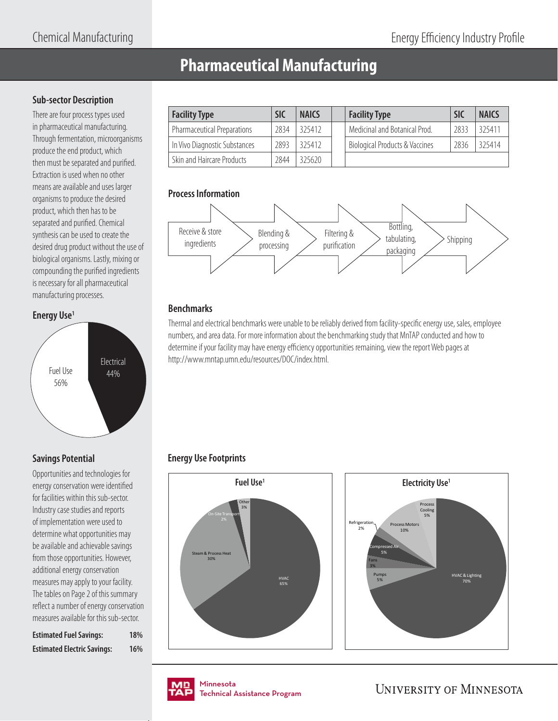# **Pharmaceutical Manufacturing**

# **Sub-sector Description**

There are four process types used in pharmaceutical manufacturing. Through fermentation, microorganisms produce the end product, which then must be separated and purified. Extraction is used when no other means are available and uses larger organisms to produce the desired product, which then has to be separated and purified. Chemical synthesis can be used to create the desired drug product without the use of biological organisms. Lastly, mixing or compounding the purified ingredients is necessary for all pharmaceutical manufacturing processes.

#### **Energy Use1**



# **Savings Potential**

Opportunities and technologies for energy conservation were identified for facilities within this sub-sector. Industry case studies and reports of implementation were used to determine what opportunities may be available and achievable savings from those opportunities. However, additional energy conservation measures may apply to your facility. The tables on Page 2 of this summary reflect a number of energy conservation measures available for this sub-sector.

| <b>Estimated Fuel Savings:</b>     | 18% |
|------------------------------------|-----|
| <b>Estimated Electric Savings:</b> | 16% |

| <b>Facility Type</b>          | <b>SIC</b> | <b>NAICS</b> | <b>Facility Type</b>                      | <b>SIC</b> | <b>NAICS</b> |
|-------------------------------|------------|--------------|-------------------------------------------|------------|--------------|
| Pharmaceutical Preparations   | 2834       | 325412       | <b>Medicinal and Botanical Prod.</b>      | 2833       | 325411       |
| In Vivo Diagnostic Substances | 2893       | 325412       | <b>Biological Products &amp; Vaccines</b> | 2836       | 325414       |
| Skin and Haircare Products    | 2844       | 325620       |                                           |            |              |

### **Process Information**



# **Benchmarks**

Thermal and electrical benchmarks were unable to be reliably derived from facility-specific energy use, sales, employee numbers, and area data. For more information about the benchmarking study that MnTAP conducted and how to determine if your facility may have energy efficiency opportunities remaining, view the report Web pages at http://www.mntap.umn.edu/resources/DOC/index.html.

# **Energy Use Footprints**







nmesota<br>:chnical Assis Technical Assistance Program Technical Assistance Program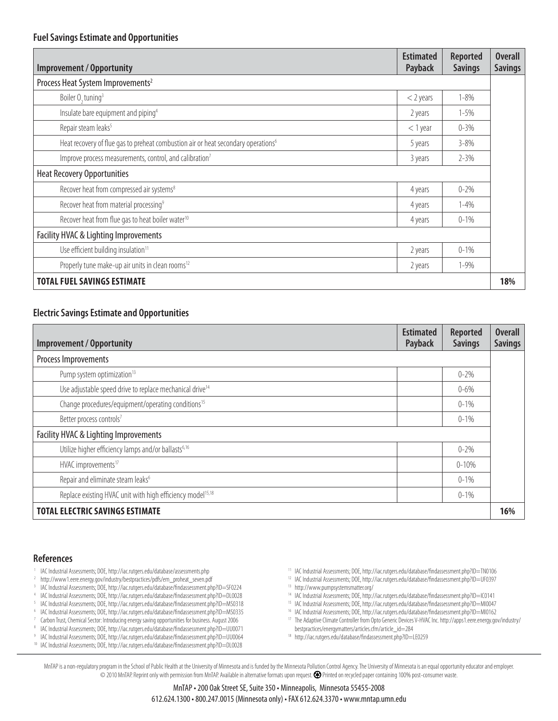| <b>Improvement / Opportunity</b>                                                              | <b>Estimated</b><br><b>Payback</b> | <b>Reported</b><br><b>Savings</b> | <b>Overall</b><br><b>Savings</b> |
|-----------------------------------------------------------------------------------------------|------------------------------------|-----------------------------------|----------------------------------|
| Process Heat System Improvements <sup>2</sup>                                                 |                                    |                                   |                                  |
| Boiler O <sub>2</sub> tuning <sup>3</sup>                                                     | $<$ 2 years                        | $1 - 8\%$                         |                                  |
| Insulate bare equipment and piping <sup>4</sup>                                               | 2 years                            | $1 - 5%$                          |                                  |
| Repair steam leaks <sup>5</sup>                                                               | $<$ 1 year                         | $0 - 3\%$                         |                                  |
| Heat recovery of flue gas to preheat combustion air or heat secondary operations <sup>6</sup> | 5 years                            | $3 - 8\%$                         |                                  |
| Improve process measurements, control, and calibration <sup>7</sup>                           | $2 - 3\%$                          |                                   |                                  |
| <b>Heat Recovery Opportunities</b>                                                            |                                    |                                   |                                  |
| Recover heat from compressed air systems <sup>8</sup>                                         | 4 years                            | $0 - 2\%$                         |                                  |
| Recover heat from material processing <sup>9</sup>                                            | 4 years                            | $1 - 4%$                          |                                  |
| Recover heat from flue gas to heat boiler water <sup>10</sup>                                 | 4 years                            | $0 - 1\%$                         |                                  |
| Facility HVAC & Lighting Improvements                                                         |                                    |                                   |                                  |
| Use efficient building insulation <sup>11</sup>                                               | 2 years                            | $0 - 1\%$                         |                                  |
| Properly tune make-up air units in clean rooms <sup>12</sup>                                  | 2 years                            | $1 - 9\%$                         |                                  |
| TOTAL FUEL SAVINGS ESTIMATE                                                                   |                                    |                                   | 18%                              |

### **Electric Savings Estimate and Opportunities**

| <b>Improvement / Opportunity</b>                                       | <b>Estimated</b><br>Payback | <b>Reported</b><br><b>Savings</b> | <b>Overall</b><br><b>Savings</b> |
|------------------------------------------------------------------------|-----------------------------|-----------------------------------|----------------------------------|
| Process Improvements                                                   |                             |                                   |                                  |
| Pump system optimization <sup>13</sup>                                 |                             | $0 - 2%$                          |                                  |
| Use adjustable speed drive to replace mechanical drive <sup>14</sup>   |                             | $0 - 6\%$                         |                                  |
| Change procedures/equipment/operating conditions <sup>15</sup>         |                             | $0 - 1\%$                         |                                  |
| Better process controls7                                               |                             | $0 - 1\%$                         |                                  |
| Facility HVAC & Lighting Improvements                                  |                             |                                   |                                  |
| Utilize higher efficiency lamps and/or ballasts <sup>6,16</sup>        |                             | $0 - 2\%$                         |                                  |
| HVAC improvements <sup>17</sup>                                        |                             | $0 - 10%$                         |                                  |
| Repair and eliminate steam leaks <sup>6</sup>                          |                             | $0 - 1\%$                         |                                  |
| Replace existing HVAC unit with high efficiency model <sup>15,18</sup> |                             | $0 - 1%$                          |                                  |
| <b>TOTAL ELECTRIC SAVINGS ESTIMATE</b>                                 |                             |                                   | 16%                              |

### **References**

- 1 IAC Industrial Assessments; DOE, http://iac.rutgers.edu/database/assessments.php
- <sup>2</sup> http://www1.eere.energy.gov/industry/bestpractices/pdfs/em\_proheat\_seven.pdf
- <sup>3</sup> IAC Industrial Assessments; DOE, http://iac.rutgers.edu/database/findassessment.php?ID=SF0224<br><sup>4</sup> IAC Industrial Assessments: DOE, http://iac.rutgers.edu/database/findassessment.php?ID=DL0028
- 4 IAC Industrial Assessments; DOE, http://iac.rutgers.edu/database/fi ndassessment.php?ID=DL0028
- <sup>5</sup> IAC Industrial Assessments; DOE, http://iac.rutgers.edu/database/findassessment.php?ID=MS0318
- 6 IAC Industrial Assessments; DOE, http://iac.rutgers.edu/database/fi ndassessment.php?ID=MS0335
- 7 Carbon Trust, Chemical Sector: Introducing energy saving opportunities for business. August 2006
- 8 IAC Industrial Assessments; DOE, http://iac.rutgers.edu/database/findassessment.php?ID=UU0071
- <sup>9</sup> IAC Industrial Assessments; DOE, http://iac.rutgers.edu/database/findassessment.php?ID=UU0064 <sup>10</sup> IAC Industrial Assessments; DOE, http://iac.rutgers.edu/database/findassessment.php?ID=DL0028
- <sup>11</sup> IAC Industrial Assessments; DOE, http://iac.rutgers.edu/database/findassessment.php?ID=TN0106
- <sup>12</sup> IAC Industrial Assessments; DOE, http://iac.rutgers.edu/database/findassessment.php?ID=UF0397
- 13 http://www.pumpsystemsmatter.org/
- <sup>14</sup> IAC Industrial Assessments; DOE, http://iac.rutgers.edu/database/findassessment.php?ID=IC0141
- <sup>15</sup> IAC Industrial Assessments; DOE, http://iac.rutgers.edu/database/findassessment.php?ID=MI0047
- <sup>16</sup> IAC Industrial Assessments; DOE, http://iac.rutgers.edu/database/findassessment.php?ID=MI0162
- 17 The Adaptive Climate Controller from Opto Generic Devices V-HVAC Inc. http://apps1.eere.energy.gov/industry/ bestpractices/energymatters/articles.cfm/article\_id=284
- 18 http://iac.rutgers.edu/database/findassessment.php?ID=LE0259

MnTAP is a non-regulatory program in the School of Public Health at the University of Minnesota and is funded by the Minnesota Pollution Control Agency. The University of Minnesota is an equal opportunity educator and empl © 2010 MnTAP. Reprint only with permission from MnTAP. Available in alternative formats upon request. Printed on recycled paper containing 100% post-consumer waste.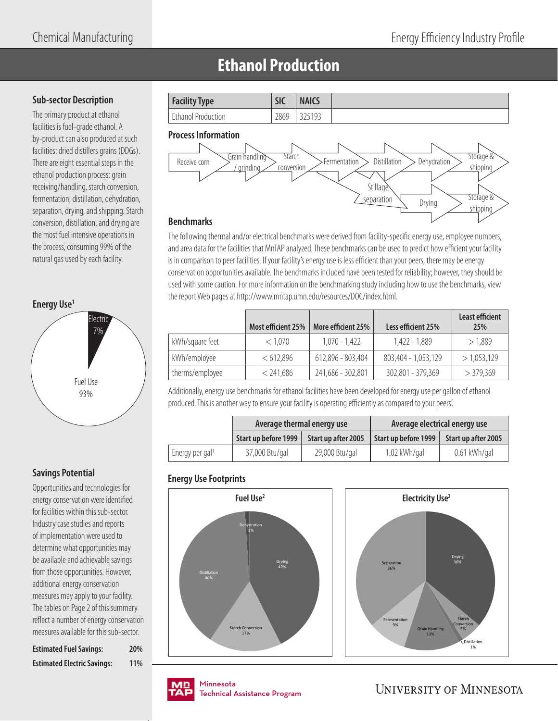# **Ethanol Production**

### **Sub-sector Description**

The primary product at ethanol facilities is fuel-grade ethanol. A by-product can also produced at such facilities: dried distillers grains (DDGs). There are eight essential steps in the ethanol production process: grain receiving/handling, starch conversion, fermentation, distillation, dehydration, separation, drying, and shipping. Starch conversion, distillation, and drying are the most fuel intensive operations in the process, consuming 99% of the natural gas used by each facility.



| <b>Facility Type</b>      | <b>SIC</b> | <b>NAICS</b> |  |
|---------------------------|------------|--------------|--|
| <b>Ethanol Production</b> | 2869       | 325193       |  |

### **Process Information**



The following thermal and/or electrical benchmarks were derived from facility-specific energy use, employee numbers, and area data for the facilities that MnTAP analyzed. These benchmarks can be used to predict how efficient your facility is in comparison to peer facilities. If your facility's energy use is less efficient than your peers, there may be energy conservation opportunities available. The benchmarks included have been tested for reliability; however, they should be used with some caution. For more information on the benchmarking study including how to use the benchmarks, view the report Web pages at http://www.mntap.umn.edu/resources/DOC/index.html.

|                 | Most efficient 25% | More efficient 25% | Less efficient 25%  | <b>Least efficient</b><br><b>25%</b> |
|-----------------|--------------------|--------------------|---------------------|--------------------------------------|
| kWh/square feet | < 1.070            | $1.070 - 1.422$    | 1,422 - 1,889       | >1.889                               |
| kWh/employee    | <612,896           | 612,896 - 803,404  | 803,404 - 1,053,129 | >1,053,129                           |
| therms/employee | < 241.686          | 241,686 - 302,801  | 302,801 - 379,369   | $>$ 379,369                          |

Additionally, energy use benchmarks for ethanol facilities have been developed for energy use per gallon of ethanol produced. This is another way to ensure your facility is operating efficiently as compared to your peers'.

|                             | Average thermal energy use |                     | Average electrical energy use |                     |  |
|-----------------------------|----------------------------|---------------------|-------------------------------|---------------------|--|
|                             | Start up before 1999       | Start up after 2005 | Start up before 1999          | Start up after 2005 |  |
| Energy per gal <sup>1</sup> | 37,000 Btu/gal             | 29,000 Btu/gal      | 1.02 kWh/gal                  | 0.61 kWh/gal        |  |

# **Energy Use Footprints**





# **Savings Potential**

Opportunities and technologies for energy conservation were identified for facilities within this sub-sector. Industry case studies and reports of implementation were used to determine what opportunities may be available and achievable savings from those opportunities. However, additional energy conservation measures may apply to your facility. The tables on Page 2 of this summary reflect a number of energy conservation measures available for this sub-sector.

| <b>Estimated Fuel Savings:</b>     | 20%        |
|------------------------------------|------------|
| <b>Estimated Electric Savings:</b> | <b>11%</b> |



Minnesota Minnesota Technical Assistance Program Technical Assistance Program